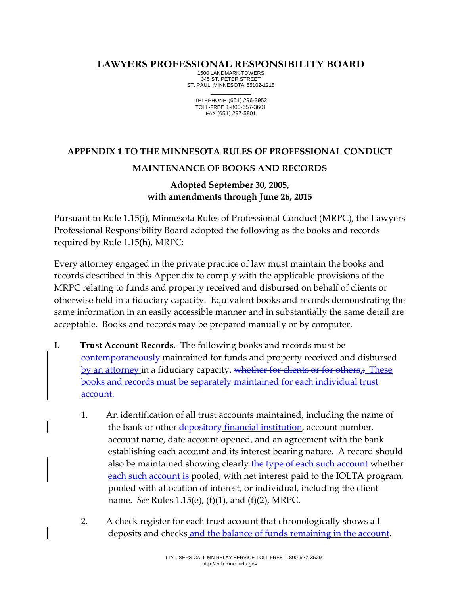## **LAWYERS PROFESSIONAL RESPONSIBILITY BOARD**

1500 LANDMARK TOWERS 345 ST. PETER STREET ST. PAUL, MINNESOTA 55102-1218 \_\_\_\_\_\_\_\_\_\_\_\_

TELEPHONE (651) 296-3952 TOLL-FREE 1-800-657-3601 FAX (651) 297-5801

## **APPENDIX 1 TO THE MINNESOTA RULES OF PROFESSIONAL CONDUCT MAINTENANCE OF BOOKS AND RECORDS**

## **Adopted September 30, 2005, with amendments through June 26, 2015**

Pursuant to Rule 1.15(i), Minnesota Rules of Professional Conduct (MRPC), the Lawyers Professional Responsibility Board adopted the following as the books and records required by Rule 1.15(h), MRPC:

Every attorney engaged in the private practice of law must maintain the books and records described in this Appendix to comply with the applicable provisions of the MRPC relating to funds and property received and disbursed on behalf of clients or otherwise held in a fiduciary capacity. Equivalent books and records demonstrating the same information in an easily accessible manner and in substantially the same detail are acceptable. Books and records may be prepared manually or by computer.

- **I. Trust Account Records.** The following books and records must be contemporaneously maintained for funds and property received and disbursed by an attorney in a fiduciary capacity. whether for clients or for others.: These books and records must be separately maintained for each individual trust account.
	- 1. An identification of all trust accounts maintained, including the name of the bank or other-depository financial institution, account number, account name, date account opened, and an agreement with the bank establishing each account and its interest bearing nature. A record should also be maintained showing clearly the type of each such account whether each such account is pooled, with net interest paid to the IOLTA program, pooled with allocation of interest, or individual, including the client name. *See* Rules 1.15(e), (f)(1), and (f)(2), MRPC.
	- 2. A check register for each trust account that chronologically shows all deposits and checks and the balance of funds remaining in the account.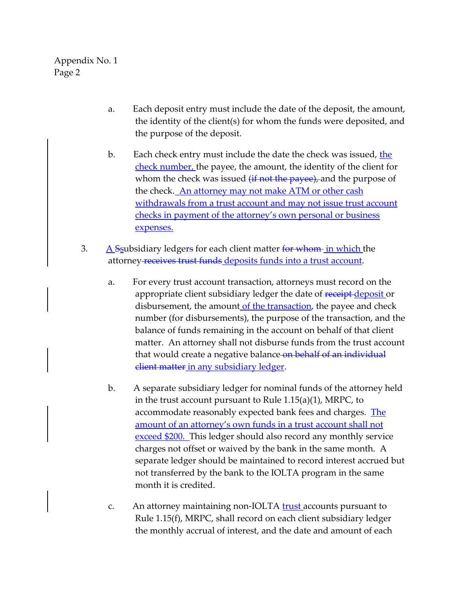- a. Each deposit entry must include the date of the deposit, the amount, the identity of the client(s) for whom the funds were deposited, and the purpose of the deposit.
- b. Each check entry must include the date the check was issued, the check number, the payee, the amount, the identity of the client for whom the check was issued  $(ii not the *payee*)$ , and the purpose of the check. An attorney may not make ATM or other cash withdrawals from a trust account and may not issue trust account checks in payment of the attorney's own personal or business expenses.
- 3.  $A$  Ssubsidiary ledgers for each client matter for whom in which the attorney receives trust funds deposits funds into a trust account.
	- a. For every trust account transaction, attorneys must record on the appropriate client subsidiary ledger the date of receipt-deposit or disbursement, the amount of the transaction, the payee and check number (for disbursements), the purpose of the transaction, and the balance of funds remaining in the account on behalf of that client matter. An attorney shall not disburse funds from the trust account that would create a negative balance on behalf of an individual client matter in any subsidiary ledger.
	- b. A separate subsidiary ledger for nominal funds of the attorney held in the trust account pursuant to Rule 1.15(a)(1), MRPC, to accommodate reasonably expected bank fees and charges. The amount of an attorney's own funds in a trust account shall not exceed \$200. This ledger should also record any monthly service charges not offset or waived by the bank in the same month. A separate ledger should be maintained to record interest accrued but not transferred by the bank to the IOLTA program in the same month it is credited.
	- c. An attorney maintaining non-IOLTA **trust** accounts pursuant to Rule 1.15(f), MRPC, shall record on each client subsidiary ledger the monthly accrual of interest, and the date and amount of each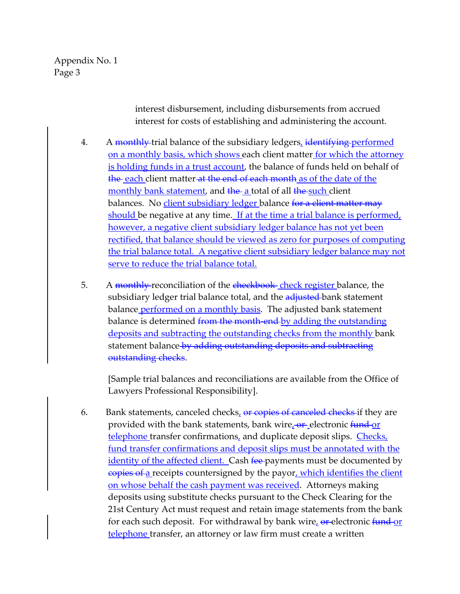> interest disbursement, including disbursements from accrued interest for costs of establishing and administering the account.

- 4. A monthly trial balance of the subsidiary ledgers, identifying performed on a monthly basis, which shows each client matter for which the attorney is holding funds in a trust account, the balance of funds held on behalf of the each client matter at the end of each month as of the date of the monthly bank statement, and the a total of all the such client balances. No client subsidiary ledger balance for a client matter may should be negative at any time. If at the time a trial balance is performed, however, a negative client subsidiary ledger balance has not yet been rectified, that balance should be viewed as zero for purposes of computing the trial balance total. A negative client subsidiary ledger balance may not serve to reduce the trial balance total.
- 5. A monthly-reconciliation of the checkbook check register balance, the subsidiary ledger trial balance total, and the adjusted bank statement balance performed on a monthly basis. The adjusted bank statement balance is determined from the month-end-by adding the outstanding deposits and subtracting the outstanding checks from the monthly bank statement balance by adding outstanding deposits and subtracting outstanding checks.

[Sample trial balances and reconciliations are available from the Office of Lawyers Professional Responsibility].

6. Bank statements, canceled checks,  $\Theta$  copies of canceled checks if they are provided with the bank statements, bank wire, or electronic fund or telephone transfer confirmations, and duplicate deposit slips. Checks, fund transfer confirmations and deposit slips must be annotated with the <u>identity of the affected client.</u> Cash <del>fee </del>payments must be documented by copies of a receipts countersigned by the payor, which identifies the client on whose behalf the cash payment was received. Attorneys making deposits using substitute checks pursuant to the Check Clearing for the 21st Century Act must request and retain image statements from the bank for each such deposit. For withdrawal by bank wire, or electronic fund or telephone transfer, an attorney or law firm must create a written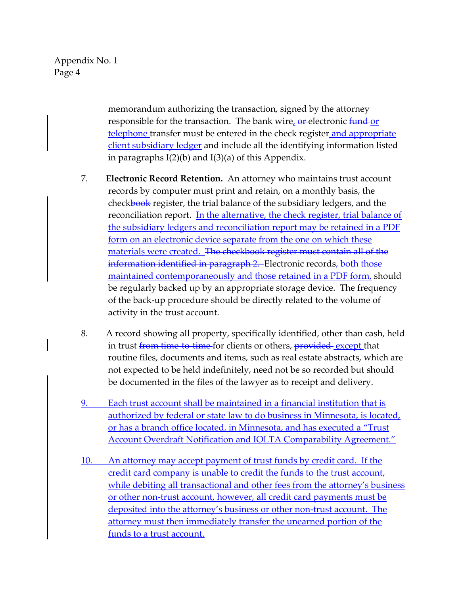> memorandum authorizing the transaction, signed by the attorney responsible for the transaction. The bank wire, or electronic fund or telephone transfer must be entered in the check register and appropriate client subsidiary ledger and include all the identifying information listed in paragraphs I(2)(b) and I(3)(a) of this Appendix.

- 7. **Electronic Record Retention.** An attorney who maintains trust account records by computer must print and retain, on a monthly basis, the checkbook register, the trial balance of the subsidiary ledgers, and the reconciliation report. In the alternative, the check register, trial balance of the subsidiary ledgers and reconciliation report may be retained in a PDF form on an electronic device separate from the one on which these materials were created. The checkbook register must contain all of the information identified in paragraph 2. Electronic records, both those maintained contemporaneously and those retained in a PDF form, should be regularly backed up by an appropriate storage device. The frequency of the back-up procedure should be directly related to the volume of activity in the trust account.
- 8. A record showing all property, specifically identified, other than cash, held in trust from time-to-time-for clients or others, provided-except that routine files, documents and items, such as real estate abstracts, which are not expected to be held indefinitely, need not be so recorded but should be documented in the files of the lawyer as to receipt and delivery.
- 9. Each trust account shall be maintained in a financial institution that is authorized by federal or state law to do business in Minnesota, is located, or has a branch office located, in Minnesota, and has executed a "Trust Account Overdraft Notification and IOLTA Comparability Agreement."
- 10. An attorney may accept payment of trust funds by credit card. If the credit card company is unable to credit the funds to the trust account, while debiting all transactional and other fees from the attorney's business or other non-trust account, however, all credit card payments must be deposited into the attorney's business or other non-trust account. The attorney must then immediately transfer the unearned portion of the funds to a trust account.